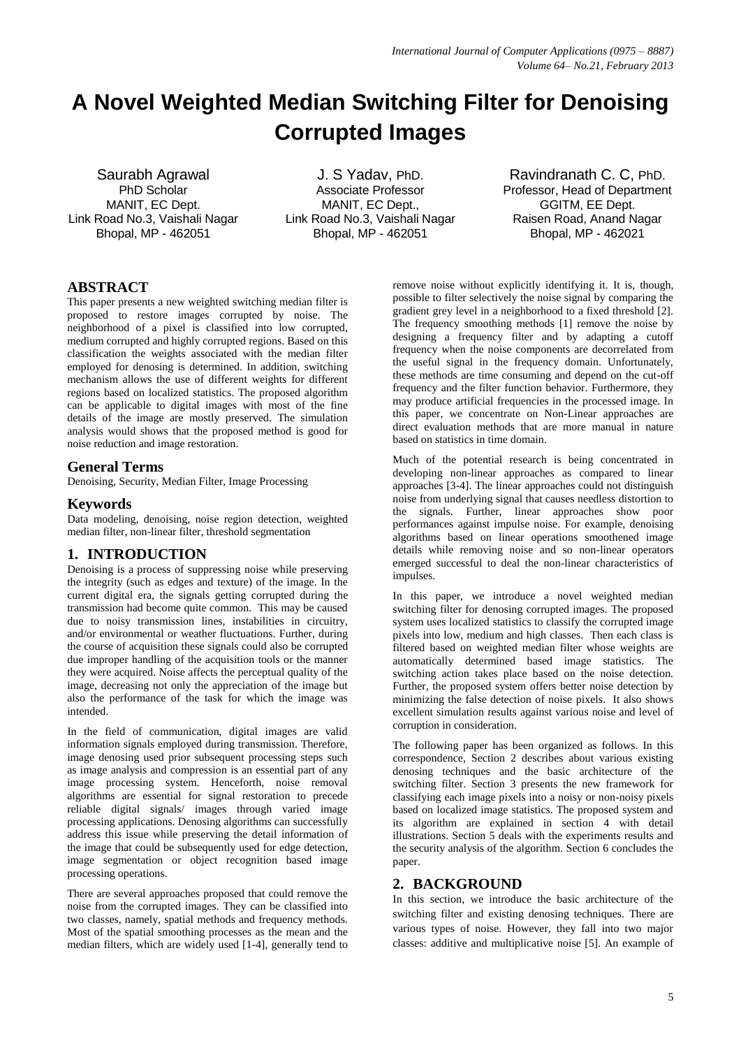# **A Novel Weighted Median Switching Filter for Denoising Corrupted Images**

Saurabh Agrawal PhD Scholar MANIT, EC Dept. Link Road No.3, Vaishali Nagar Bhopal, MP - 462051

J. S Yadav, PhD. Associate Professor MANIT, EC Dept., Link Road No.3, Vaishali Nagar Bhopal, MP - 462051

Ravindranath C. C, PhD. Professor, Head of Department GGITM, EE Dept. Raisen Road, Anand Nagar Bhopal, MP - 462021

# **ABSTRACT**

This paper presents a new weighted switching median filter is proposed to restore images corrupted by noise. The neighborhood of a pixel is classified into low corrupted, medium corrupted and highly corrupted regions. Based on this classification the weights associated with the median filter employed for denosing is determined. In addition, switching mechanism allows the use of different weights for different regions based on localized statistics. The proposed algorithm can be applicable to digital images with most of the fine details of the image are mostly preserved. The simulation analysis would shows that the proposed method is good for noise reduction and image restoration.

## **General Terms**

Denoising, Security, Median Filter, Image Processing

## **Keywords**

Data modeling, denoising, noise region detection, weighted median filter, non-linear filter, threshold segmentation

## **1. INTRODUCTION**

Denoising is a process of suppressing noise while preserving the integrity (such as edges and texture) of the image. In the current digital era, the signals getting corrupted during the transmission had become quite common. This may be caused due to noisy transmission lines, instabilities in circuitry, and/or environmental or weather fluctuations. Further, during the course of acquisition these signals could also be corrupted due improper handling of the acquisition tools or the manner they were acquired. Noise affects the perceptual quality of the image, decreasing not only the appreciation of the image but also the performance of the task for which the image was intended.

In the field of communication, digital images are valid information signals employed during transmission. Therefore, image denosing used prior subsequent processing steps such as image analysis and compression is an essential part of any image processing system. Henceforth, noise removal algorithms are essential for signal restoration to precede reliable digital signals/ images through varied image processing applications. Denosing algorithms can successfully address this issue while preserving the detail information of the image that could be subsequently used for edge detection, image segmentation or object recognition based image processing operations.

There are several approaches proposed that could remove the noise from the corrupted images. They can be classified into two classes, namely, spatial methods and frequency methods. Most of the spatial smoothing processes as the mean and the median filters, which are widely used [1-4], generally tend to remove noise without explicitly identifying it. It is, though, possible to filter selectively the noise signal by comparing the gradient grey level in a neighborhood to a fixed threshold [2]. The frequency smoothing methods [1] remove the noise by designing a frequency filter and by adapting a cutoff frequency when the noise components are decorrelated from the useful signal in the frequency domain. Unfortunately, these methods are time consuming and depend on the cut-off frequency and the filter function behavior. Furthermore, they may produce artificial frequencies in the processed image. In this paper, we concentrate on Non-Linear approaches are direct evaluation methods that are more manual in nature based on statistics in time domain.

Much of the potential research is being concentrated in developing non-linear approaches as compared to linear approaches [3-4]. The linear approaches could not distinguish noise from underlying signal that causes needless distortion to the signals. Further, linear approaches show poor performances against impulse noise. For example, denoising algorithms based on linear operations smoothened image details while removing noise and so non-linear operators emerged successful to deal the non-linear characteristics of impulses.

In this paper, we introduce a novel weighted median switching filter for denosing corrupted images. The proposed system uses localized statistics to classify the corrupted image pixels into low, medium and high classes. Then each class is filtered based on weighted median filter whose weights are automatically determined based image statistics. The switching action takes place based on the noise detection. Further, the proposed system offers better noise detection by minimizing the false detection of noise pixels. It also shows excellent simulation results against various noise and level of corruption in consideration.

The following paper has been organized as follows. In this correspondence, Section 2 describes about various existing denosing techniques and the basic architecture of the switching filter. Section 3 presents the new framework for classifying each image pixels into a noisy or non-noisy pixels based on localized image statistics. The proposed system and its algorithm are explained in section 4 with detail illustrations. Section 5 deals with the experiments results and the security analysis of the algorithm. Section 6 concludes the paper.

# **2. BACKGROUND**

In this section, we introduce the basic architecture of the switching filter and existing denosing techniques. There are various types of noise. However, they fall into two major classes: additive and multiplicative noise [5]. An example of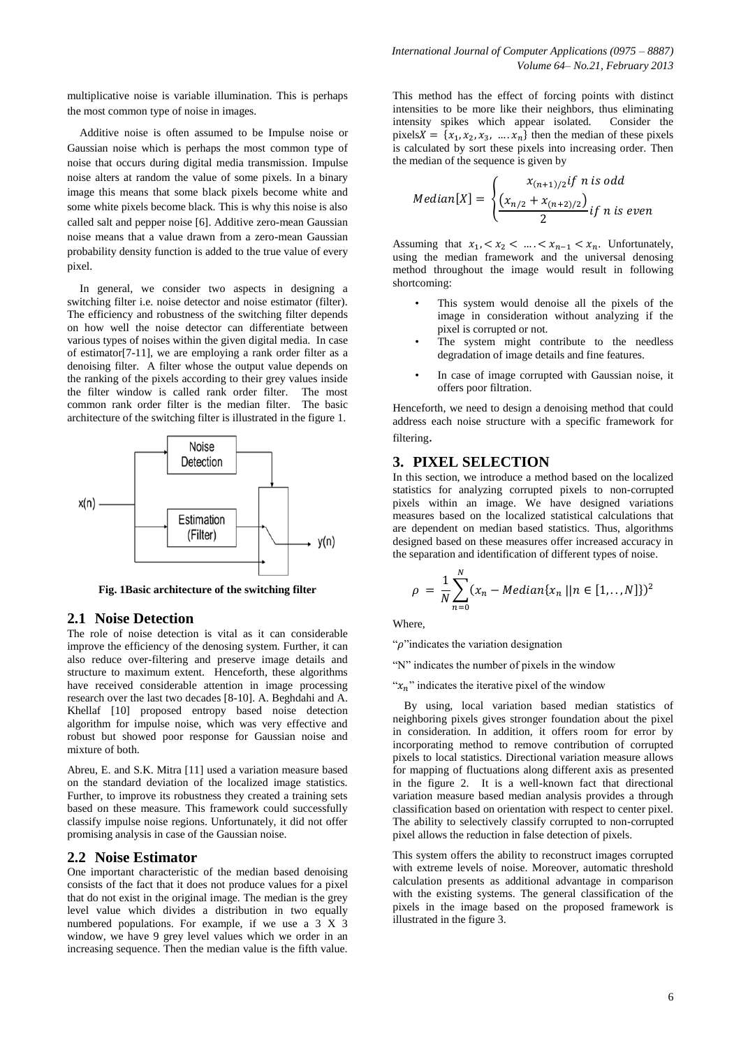multiplicative noise is variable illumination. This is perhaps the most common type of noise in images.

Additive noise is often assumed to be Impulse noise or Gaussian noise which is perhaps the most common type of noise that occurs during digital media transmission. Impulse noise alters at random the value of some pixels. In a binary image this means that some black pixels become white and some white pixels become black. This is why this noise is also called salt and pepper noise [6]. Additive zero-mean Gaussian noise means that a value drawn from a zero-mean Gaussian probability density function is added to the true value of every pixel.

In general, we consider two aspects in designing a switching filter i.e. noise detector and noise estimator (filter). The efficiency and robustness of the switching filter depends on how well the noise detector can differentiate between various types of noises within the given digital media. In case of estimator[7-11], we are employing a rank order filter as a denoising filter. A filter whose the output value depends on the ranking of the pixels according to their grey values inside the filter window is called rank order filter. The most common rank order filter is the median filter. The basic architecture of the switching filter is illustrated in the figure 1.



**Fig. 1Basic architecture of the switching filter**

## **2.1 Noise Detection**

The role of noise detection is vital as it can considerable improve the efficiency of the denosing system. Further, it can also reduce over-filtering and preserve image details and structure to maximum extent. Henceforth, these algorithms have received considerable attention in image processing research over the last two decades [8-10]. A. Beghdahi and A. Khellaf [10] proposed entropy based noise detection algorithm for impulse noise, which was very effective and robust but showed poor response for Gaussian noise and mixture of both.

Abreu, E. and S.K. Mitra [11] used a variation measure based on the standard deviation of the localized image statistics. Further, to improve its robustness they created a training sets based on these measure. This framework could successfully classify impulse noise regions. Unfortunately, it did not offer promising analysis in case of the Gaussian noise.

#### **2.2 Noise Estimator**

One important characteristic of the median based denoising consists of the fact that it does not produce values for a pixel that do not exist in the original image. The median is the grey level value which divides a distribution in two equally numbered populations. For example, if we use a 3 X 3 window, we have 9 grey level values which we order in an increasing sequence. Then the median value is the fifth value.

This method has the effect of forcing points with distinct intensities to be more like their neighbors, thus eliminating intensity spikes which appear isolated. Consider the pixels  $X = \{x_1, x_2, x_3, \dots, x_n\}$  then the median of these pixels is calculated by sort these pixels into increasing order. Then the median of the sequence is given by

$$
Median[X] = \begin{cases} x_{(n+1)/2} & \text{if } n \text{ is odd} \\ \frac{(x_{n/2} + x_{(n+2)/2})}{2} & \text{if } n \text{ is even} \end{cases}
$$

Assuming that  $x_1, \, x_2, \, \ldots, \, x_{n-1} < x_n$ . Unfortunately, using the median framework and the universal denosing method throughout the image would result in following shortcoming:

- This system would denoise all the pixels of the image in consideration without analyzing if the pixel is corrupted or not.
- The system might contribute to the needless degradation of image details and fine features.
- In case of image corrupted with Gaussian noise, it offers poor filtration.

Henceforth, we need to design a denoising method that could address each noise structure with a specific framework for filtering.

## **3. PIXEL SELECTION**

In this section, we introduce a method based on the localized statistics for analyzing corrupted pixels to non-corrupted pixels within an image. We have designed variations measures based on the localized statistical calculations that are dependent on median based statistics. Thus, algorithms designed based on these measures offer increased accuracy in the separation and identification of different types of noise.

$$
\rho = \frac{1}{N} \sum_{n=0}^{N} (x_n - Median\{x_n \mid | n \in [1,..,N]\})^2
$$

Where,

" $\rho$ " indicates the variation designation

"N" indicates the number of pixels in the window

" $x_n$ " indicates the iterative pixel of the window"

 By using, local variation based median statistics of neighboring pixels gives stronger foundation about the pixel in consideration. In addition, it offers room for error by incorporating method to remove contribution of corrupted pixels to local statistics. Directional variation measure allows for mapping of fluctuations along different axis as presented in the figure 2. It is a well-known fact that directional variation measure based median analysis provides a through classification based on orientation with respect to center pixel. The ability to selectively classify corrupted to non-corrupted pixel allows the reduction in false detection of pixels.

This system offers the ability to reconstruct images corrupted with extreme levels of noise. Moreover, automatic threshold calculation presents as additional advantage in comparison with the existing systems. The general classification of the pixels in the image based on the proposed framework is illustrated in the figure 3.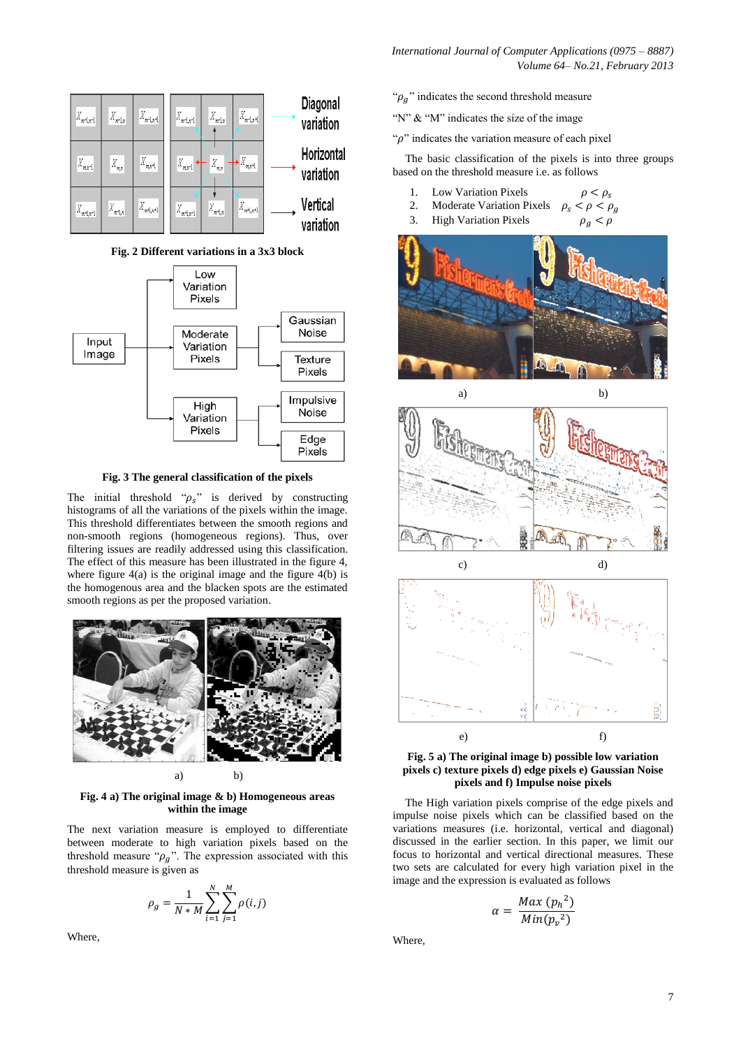*International Journal of Computer Applications (0975 – 8887) Volume 64– No.21, February 2013* 



**Fig. 2 Different variations in a 3x3 block**



**Fig. 3 The general classification of the pixels** 

The initial threshold " $\rho_s$ " is derived by constructing histograms of all the variations of the pixels within the image. This threshold differentiates between the smooth regions and non-smooth regions (homogeneous regions). Thus, over filtering issues are readily addressed using this classification. The effect of this measure has been illustrated in the figure 4, where figure  $4(a)$  is the original image and the figure  $4(b)$  is the homogenous area and the blacken spots are the estimated smooth regions as per the proposed variation.



**Fig. 4 a) The original image & b) Homogeneous areas within the image** 

The next variation measure is employed to differentiate between moderate to high variation pixels based on the threshold measure " $\rho_g$ ". The expression associated with this threshold measure is given as

$$
\rho_g = \frac{1}{N * M} \sum_{i=1}^{N} \sum_{j=1}^{M} \rho(i, j)
$$

Where,

" $\rho_q$ " indicates the second threshold measure

"N" & "M" indicates the size of the image

" $\rho$ " indicates the variation measure of each pixel

The basic classification of the pixels is into three groups based on the threshold measure i.e. as follows

 $\rho < \rho_s$ 

- 1. Low Variation Pixels
- 2. Moderate Variation Pixels  $<\rho<\rho_g$  $\rho_{\rm c}$
- 3. High Variation Pixels





**Fig. 5 a) The original image b) possible low variation pixels c) texture pixels d) edge pixels e) Gaussian Noise pixels and f) Impulse noise pixels**

The High variation pixels comprise of the edge pixels and impulse noise pixels which can be classified based on the variations measures (i.e. horizontal, vertical and diagonal) discussed in the earlier section. In this paper, we limit our focus to horizontal and vertical directional measures. These two sets are calculated for every high variation pixel in the image and the expression is evaluated as follows

$$
\alpha = \frac{Max (p_h^2)}{Min (p_v^2)}
$$

Where,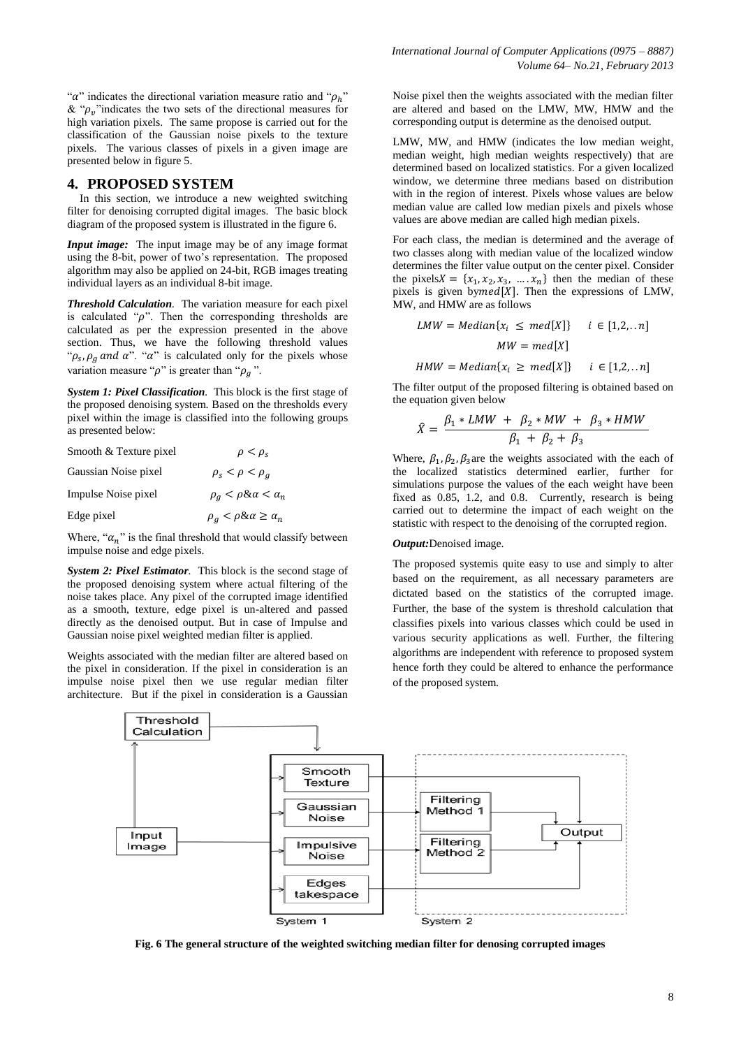" $\alpha$ " indicates the directional variation measure ratio and " $\rho_h$ " & " $\rho_n$ " indicates the two sets of the directional measures for high variation pixels. The same propose is carried out for the classification of the Gaussian noise pixels to the texture pixels. The various classes of pixels in a given image are presented below in figure 5.

#### **4. PROPOSED SYSTEM**

In this section, we introduce a new weighted switching filter for denoising corrupted digital images. The basic block diagram of the proposed system is illustrated in the figure 6.

*Input image:* The input image may be of any image format using the 8-bit, power of two's representation. The proposed algorithm may also be applied on 24-bit, RGB images treating individual layers as an individual 8-bit image.

*Threshold Calculation.* The variation measure for each pixel is calculated " $\rho$ ". Then the corresponding thresholds are calculated as per the expression presented in the above section. Thus, we have the following threshold values " $\rho_s$ ,  $\rho_q$  and  $\alpha$ ". " $\alpha$ " is calculated only for the pixels whose variation measure " $\rho$ " is greater than " $\rho_a$ ".

*System 1: Pixel Classification.* This block is the first stage of the proposed denoising system. Based on the thresholds every pixel within the image is classified into the following groups as presented below:

| Smooth & Texture pixel | $\rho < \rho_{\rm s}$                   |
|------------------------|-----------------------------------------|
| Gaussian Noise pixel   | $\rho_{\rm s} < \rho < \rho_{\rm a}$    |
| Impulse Noise pixel    | $\rho_q < \rho \& \alpha < \alpha_n$    |
| Edge pixel             | $\rho_a < \rho \& \alpha \geq \alpha_n$ |

Where, " $\alpha_n$ " is the final threshold that would classify between impulse noise and edge pixels.

*System 2: Pixel Estimator.* This block is the second stage of the proposed denoising system where actual filtering of the noise takes place. Any pixel of the corrupted image identified as a smooth, texture, edge pixel is un-altered and passed directly as the denoised output. But in case of Impulse and Gaussian noise pixel weighted median filter is applied.

Weights associated with the median filter are altered based on the pixel in consideration. If the pixel in consideration is an impulse noise pixel then we use regular median filter architecture. But if the pixel in consideration is a Gaussian

Noise pixel then the weights associated with the median filter are altered and based on the LMW, MW, HMW and the corresponding output is determine as the denoised output.

LMW, MW, and HMW (indicates the low median weight, median weight, high median weights respectively) that are determined based on localized statistics. For a given localized window, we determine three medians based on distribution with in the region of interest. Pixels whose values are below median value are called low median pixels and pixels whose values are above median are called high median pixels.

For each class, the median is determined and the average of two classes along with median value of the localized window determines the filter value output on the center pixel. Consider the pixels  $X = \{x_1, x_2, x_3, \dots, x_n\}$  then the median of these pixels is given by med $[X]$ . Then the expressions of LMW, MW, and HMW are as follows

$$
LMW = Median\{x_i \le med[X]\} \quad i \in [1,2,..n]
$$

$$
MW = med[X]
$$

 $HMW = Median\{x_i \ge med[X]\}$   $i \in [1,2,..n]$ 

The filter output of the proposed filtering is obtained based on the equation given below

$$
\hat{X} = \frac{\beta_1 * LMW + \beta_2 * MW + \beta_3 * HMW}{\beta_1 + \beta_2 + \beta_3}
$$

Where,  $\beta_1$ ,  $\beta_2$ ,  $\beta_3$  are the weights associated with the each of the localized statistics determined earlier, further for simulations purpose the values of the each weight have been fixed as 0.85, 1.2, and 0.8. Currently, research is being carried out to determine the impact of each weight on the statistic with respect to the denoising of the corrupted region.

#### *Output:*Denoised image.

The proposed systemis quite easy to use and simply to alter based on the requirement, as all necessary parameters are dictated based on the statistics of the corrupted image. Further, the base of the system is threshold calculation that classifies pixels into various classes which could be used in various security applications as well. Further, the filtering algorithms are independent with reference to proposed system hence forth they could be altered to enhance the performance of the proposed system.



**Fig. 6 The general structure of the weighted switching median filter for denosing corrupted images**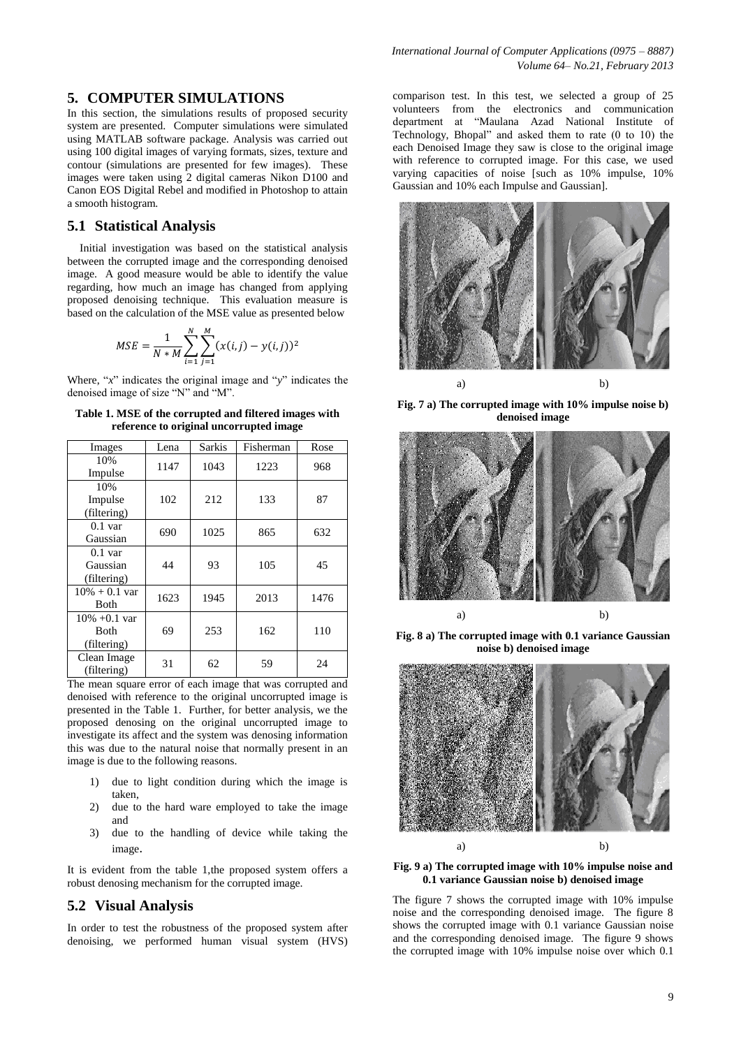## **5. COMPUTER SIMULATIONS**

In this section, the simulations results of proposed security system are presented. Computer simulations were simulated using MATLAB software package. Analysis was carried out using 100 digital images of varying formats, sizes, texture and contour (simulations are presented for few images). These images were taken using 2 digital cameras Nikon D100 and Canon EOS Digital Rebel and modified in Photoshop to attain a smooth histogram.

## **5.1 Statistical Analysis**

Initial investigation was based on the statistical analysis between the corrupted image and the corresponding denoised image. A good measure would be able to identify the value regarding, how much an image has changed from applying proposed denoising technique. This evaluation measure is based on the calculation of the MSE value as presented below

$$
MSE = \frac{1}{N * M} \sum_{i=1}^{N} \sum_{j=1}^{M} (x(i,j) - y(i,j))^2
$$

Where, "*x*" indicates the original image and "*y*" indicates the denoised image of size "N" and "M".

**Table 1. MSE of the corrupted and filtered images with reference to original uncorrupted image**

| Images                                        | Lena | <b>Sarkis</b> | Fisherman | Rose |
|-----------------------------------------------|------|---------------|-----------|------|
| 10%<br>Impulse                                | 1147 | 1043          | 1223      | 968  |
| 10%<br>Impulse<br>(filtering)                 | 102  | 212           | 133       | 87   |
| $0.1$ var<br>Gaussian                         | 690  | 1025          | 865       | 632  |
| $0.1$ var<br>Gaussian<br>(filtering)          | 44   | 93            | 105       | 45   |
| $10\% + 0.1$ var<br>Both                      | 1623 | 1945          | 2013      | 1476 |
| $10\% +0.1$ var<br><b>Both</b><br>(filtering) | 69   | 253           | 162       | 110  |
| Clean Image<br>(filtering)                    | 31   | 62            | 59        | 24   |

The mean square error of each image that was corrupted and denoised with reference to the original uncorrupted image is presented in the Table 1. Further, for better analysis, we the proposed denosing on the original uncorrupted image to investigate its affect and the system was denosing information this was due to the natural noise that normally present in an image is due to the following reasons.

- 1) due to light condition during which the image is taken,
- 2) due to the hard ware employed to take the image and
- 3) due to the handling of device while taking the image.

It is evident from the table 1,the proposed system offers a robust denosing mechanism for the corrupted image.

## **5.2 Visual Analysis**

In order to test the robustness of the proposed system after denoising, we performed human visual system (HVS) comparison test. In this test, we selected a group of 25 volunteers from the electronics and communication department at "Maulana Azad National Institute of Technology, Bhopal" and asked them to rate (0 to 10) the each Denoised Image they saw is close to the original image with reference to corrupted image. For this case, we used varying capacities of noise [such as 10% impulse, 10% Gaussian and 10% each Impulse and Gaussian].



**Fig. 7 a) The corrupted image with 10% impulse noise b) denoised image**



**Fig. 8 a) The corrupted image with 0.1 variance Gaussian noise b) denoised image**



**Fig. 9 a) The corrupted image with 10% impulse noise and 0.1 variance Gaussian noise b) denoised image**

The figure 7 shows the corrupted image with 10% impulse noise and the corresponding denoised image. The figure 8 shows the corrupted image with 0.1 variance Gaussian noise and the corresponding denoised image. The figure 9 shows the corrupted image with 10% impulse noise over which 0.1